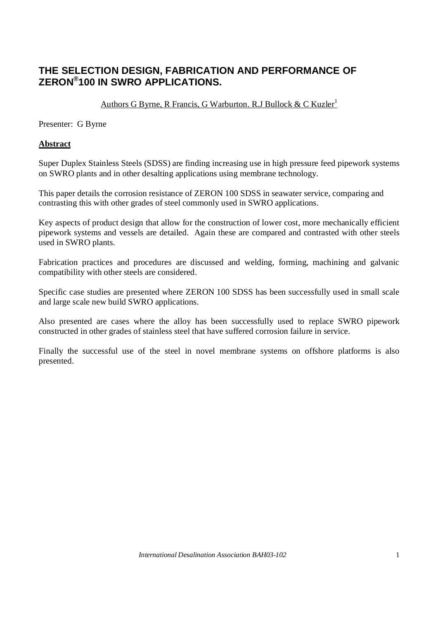# **THE SELECTION DESIGN, FABRICATION AND PERFORMANCE OF ZERON® 100 IN SWRO APPLICATIONS.**

# Authors G Byrne, R Francis, G Warburton. R.J Bullock & C Kuzler<sup>1</sup>

Presenter: G Byrne

### **Abstract**

Super Duplex Stainless Steels (SDSS) are finding increasing use in high pressure feed pipework systems on SWRO plants and in other desalting applications using membrane technology.

This paper details the corrosion resistance of ZERON 100 SDSS in seawater service, comparing and contrasting this with other grades of steel commonly used in SWRO applications.

Key aspects of product design that allow for the construction of lower cost, more mechanically efficient pipework systems and vessels are detailed. Again these are compared and contrasted with other steels used in SWRO plants.

Fabrication practices and procedures are discussed and welding, forming, machining and galvanic compatibility with other steels are considered.

Specific case studies are presented where ZERON 100 SDSS has been successfully used in small scale and large scale new build SWRO applications.

Also presented are cases where the alloy has been successfully used to replace SWRO pipework constructed in other grades of stainless steel that have suffered corrosion failure in service.

Finally the successful use of the steel in novel membrane systems on offshore platforms is also presented.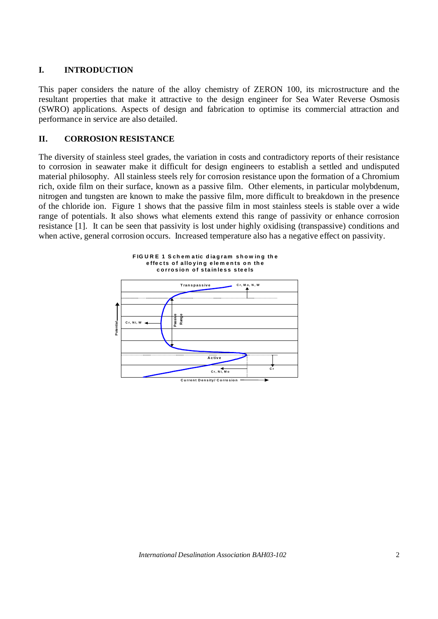# **I. INTRODUCTION**

This paper considers the nature of the alloy chemistry of ZERON 100, its microstructure and the resultant properties that make it attractive to the design engineer for Sea Water Reverse Osmosis (SWRO) applications. Aspects of design and fabrication to optimise its commercial attraction and performance in service are also detailed.

# **II. CORROSION RESISTANCE**

The diversity of stainless steel grades, the variation in costs and contradictory reports of their resistance to corrosion in seawater make it difficult for design engineers to establish a settled and undisputed material philosophy. All stainless steels rely for corrosion resistance upon the formation of a Chromium rich, oxide film on their surface, known as a passive film. Other elements, in particular molybdenum, nitrogen and tungsten are known to make the passive film, more difficult to breakdown in the presence of the chloride ion. Figure 1 shows that the passive film in most stainless steels is stable over a wide range of potentials. It also shows what elements extend this range of passivity or enhance corrosion resistance [1]. It can be seen that passivity is lost under highly oxidising (transpassive) conditions and when active, general corrosion occurs. Increased temperature also has a negative effect on passivity.

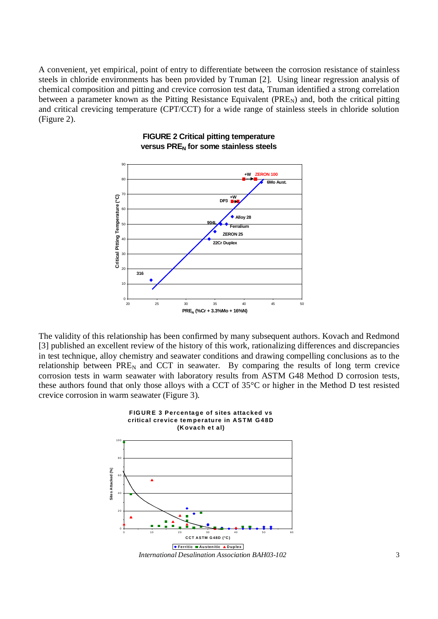A convenient, yet empirical, point of entry to differentiate between the corrosion resistance of stainless steels in chloride environments has been provided by Truman [2]. Using linear regression analysis of chemical composition and pitting and crevice corrosion test data, Truman identified a strong correlation between a parameter known as the Pitting Resistance Equivalent ( $PRE_N$ ) and, both the critical pitting and critical crevicing temperature (CPT/CCT) for a wide range of stainless steels in chloride solution (Figure 2).



#### **FIGURE 2 Critical pitting temperature versus PREN for some stainless steels**

The validity of this relationship has been confirmed by many subsequent authors. Kovach and Redmond [3] published an excellent review of the history of this work, rationalizing differences and discrepancies in test technique, alloy chemistry and seawater conditions and drawing compelling conclusions as to the relationship between  $PRE<sub>N</sub>$  and CCT in seawater. By comparing the results of long term crevice corrosion tests in warm seawater with laboratory results from ASTM G48 Method D corrosion tests, these authors found that only those alloys with a CCT of 35°C or higher in the Method D test resisted crevice corrosion in warm seawater (Figure 3).

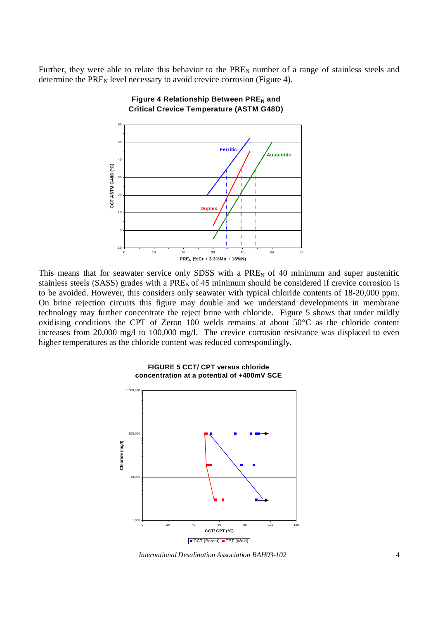Further, they were able to relate this behavior to the  $PRE<sub>N</sub>$  number of a range of stainless steels and determine the  $PRE<sub>N</sub>$  level necessary to avoid crevice corrosion (Figure 4).



**Figure 4 Relationship Between PRE<sub>N</sub>** and **Critical Crevice Temperature (ASTM G48D)**

This means that for seawater service only SDSS with a  $PRE<sub>N</sub>$  of 40 minimum and super austenitic stainless steels (SASS) grades with a  $PRE<sub>N</sub>$  of 45 minimum should be considered if crevice corrosion is to be avoided. However, this considers only seawater with typical chloride contents of 18-20,000 ppm. On brine rejection circuits this figure may double and we understand developments in membrane technology may further concentrate the reject brine with chloride. Figure 5 shows that under mildly oxidising conditions the CPT of Zeron 100 welds remains at about 50°C as the chloride content increases from 20,000 mg/l to 100,000 mg/l. The crevice corrosion resistance was displaced to even higher temperatures as the chloride content was reduced correspondingly.



**FIGURE 5 CCT/ CPT versus chloride concentration at a potential of +400mV SCE**

*International Desalination Association BAH03-102* 4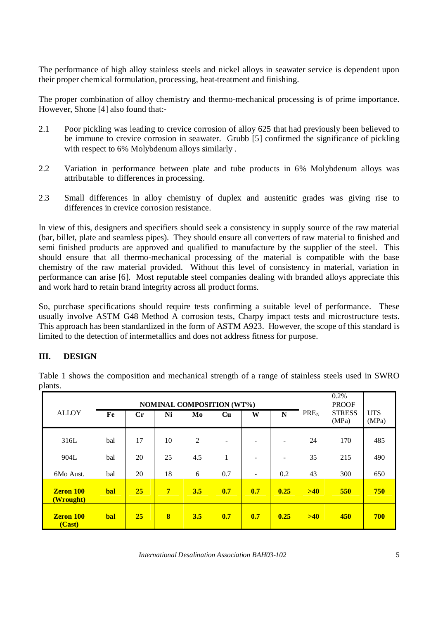The performance of high alloy stainless steels and nickel alloys in seawater service is dependent upon their proper chemical formulation, processing, heat-treatment and finishing.

The proper combination of alloy chemistry and thermo-mechanical processing is of prime importance. However, Shone [4] also found that:-

- 2.1 Poor pickling was leading to crevice corrosion of alloy 625 that had previously been believed to be immune to crevice corrosion in seawater. Grubb [5] confirmed the significance of pickling with respect to 6% Molybdenum alloys similarly .
- 2.2 Variation in performance between plate and tube products in 6% Molybdenum alloys was attributable to differences in processing.
- 2.3 Small differences in alloy chemistry of duplex and austenitic grades was giving rise to differences in crevice corrosion resistance.

In view of this, designers and specifiers should seek a consistency in supply source of the raw material (bar, billet, plate and seamless pipes). They should ensure all converters of raw material to finished and semi finished products are approved and qualified to manufacture by the supplier of the steel. This should ensure that all thermo-mechanical processing of the material is compatible with the base chemistry of the raw material provided. Without this level of consistency in material, variation in performance can arise [6]. Most reputable steel companies dealing with branded alloys appreciate this and work hard to retain brand integrity across all product forms.

So, purchase specifications should require tests confirming a suitable level of performance. These usually involve ASTM G48 Method A corrosion tests, Charpy impact tests and microstructure tests. This approach has been standardized in the form of ASTM A923. However, the scope of this standard is limited to the detection of intermetallics and does not address fitness for purpose.

# **III. DESIGN**

Table 1 shows the composition and mechanical strength of a range of stainless steels used in SWRO plants. **NOMINAL COMPOSITION (WT%)** 0.2% PROOF

|                               | <b>NOMINAL COMPOSITION (WT%)</b> |                |                 |     |                          |                          |                          |                  | $0.2\%$<br><b>PROOF</b> |                     |
|-------------------------------|----------------------------------|----------------|-----------------|-----|--------------------------|--------------------------|--------------------------|------------------|-------------------------|---------------------|
| <b>ALLOY</b>                  | Fe                               | $\mathbf{C}$ r | Ni              | Mo  | Cu                       | W                        | N                        | PRE <sub>N</sub> | <b>STRESS</b><br>(MPa)  | <b>UTS</b><br>(MPa) |
| 316L                          | bal                              | 17             | 10              | 2   | $\overline{\phantom{a}}$ | $\overline{\phantom{0}}$ | $\overline{\phantom{0}}$ | 24               | 170                     | 485                 |
| 904L                          | bal                              | 20             | 25              | 4.5 | 1                        | $\overline{\phantom{0}}$ | $\overline{\phantom{0}}$ | 35               | 215                     | 490                 |
| 6Mo Aust.                     | bal                              | 20             | 18              | 6   | 0.7                      | $\overline{\phantom{a}}$ | 0.2                      | 43               | 300                     | 650                 |
| <b>Zeron 100</b><br>(Wrought) | bal                              | 25             | $7\phantom{.0}$ | 3.5 | 0.7                      | 0.7                      | 0.25                     | >40              | 550                     | 750                 |
| <b>Zeron 100</b><br>(Cast)    | <b>bal</b>                       | 25             | 8               | 3.5 | 0.7                      | 0.7                      | 0.25                     | >40              | 450                     | 700                 |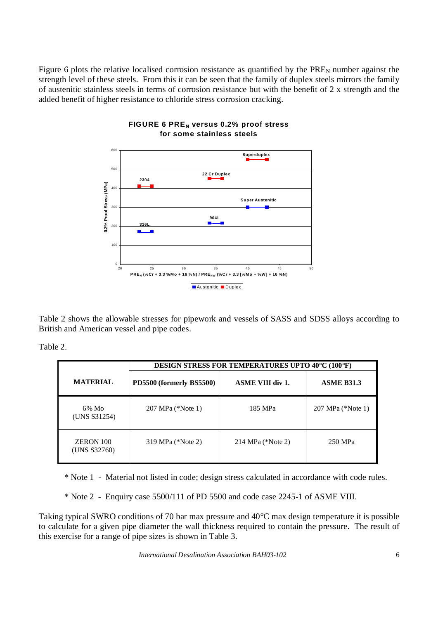Figure 6 plots the relative localised corrosion resistance as quantified by the  $PRE<sub>N</sub>$  number against the strength level of these steels. From this it can be seen that the family of duplex steels mirrors the family of austenitic stainless steels in terms of corrosion resistance but with the benefit of 2 x strength and the added benefit of higher resistance to chloride stress corrosion cracking.



#### **FIGURE 6 PREN versus 0.2% proof stress for some stainless steels**

Table 2 shows the allowable stresses for pipework and vessels of SASS and SDSS alloys according to British and American vessel and pipe codes.

Table 2.

|                                  | <b>DESIGN STRESS FOR TEMPERATURES UPTO 40°C (100°F)</b> |                         |                   |  |  |  |
|----------------------------------|---------------------------------------------------------|-------------------------|-------------------|--|--|--|
| <b>MATERIAL</b>                  | PD5500 (formerly BS5500)                                | <b>ASME VIII div 1.</b> | <b>ASME B31.3</b> |  |  |  |
| $6\%$ Mo<br>(UNS S31254)         | 207 MPa (*Note 1)                                       | 185 MPa                 | 207 MPa (*Note 1) |  |  |  |
| <b>ZERON 100</b><br>(UNS S32760) | 319 MPa (*Note 2)                                       | 214 MPa $(*Note 2)$     | 250 MPa           |  |  |  |

\* Note 1 - Material not listed in code; design stress calculated in accordance with code rules.

\* Note 2 - Enquiry case 5500/111 of PD 5500 and code case 2245-1 of ASME VIII.

Taking typical SWRO conditions of 70 bar max pressure and 40°C max design temperature it is possible to calculate for a given pipe diameter the wall thickness required to contain the pressure. The result of this exercise for a range of pipe sizes is shown in Table 3.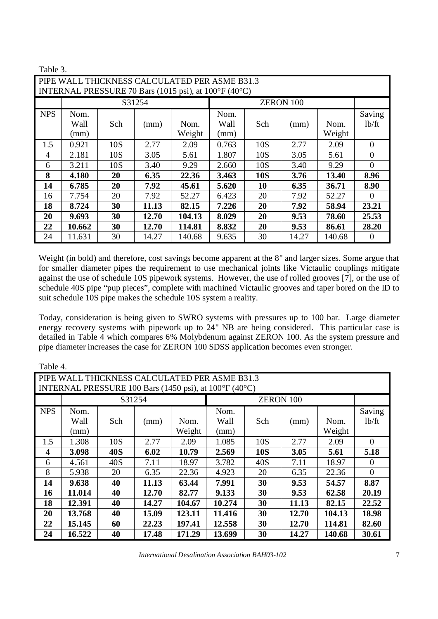|            | Table 3.                                              |     |        |        |       |            |       |        |          |
|------------|-------------------------------------------------------|-----|--------|--------|-------|------------|-------|--------|----------|
|            | PIPE WALL THICKNESS CALCULATED PER ASME B31.3         |     |        |        |       |            |       |        |          |
|            | INTERNAL PRESSURE 70 Bars (1015 psi), at 100°F (40°C) |     |        |        |       |            |       |        |          |
|            |                                                       |     | S31254 |        |       |            |       |        |          |
| <b>NPS</b> | Nom.                                                  |     |        |        | Nom.  |            |       |        | Saving   |
|            | Wall                                                  | Sch | (mm)   | Nom.   | Wall  | Sch        | (mm)  | Nom.   | 1b/ft    |
|            | (mm)                                                  |     |        | Weight | (mm)  |            |       | Weight |          |
| 1.5        | 0.921                                                 | 10S | 2.77   | 2.09   | 0.763 | 10S        | 2.77  | 2.09   | $\Omega$ |
| 4          | 2.181                                                 | 10S | 3.05   | 5.61   | 1.807 | 10S        | 3.05  | 5.61   | 0        |
| 6          | 3.211                                                 | 10S | 3.40   | 9.29   | 2.660 | 10S        | 3.40  | 9.29   | 0        |
| 8          | 4.180                                                 | 20  | 6.35   | 22.36  | 3.463 | <b>10S</b> | 3.76  | 13.40  | 8.96     |
| 14         | 6.785                                                 | 20  | 7.92   | 45.61  | 5.620 | 10         | 6.35  | 36.71  | 8.90     |
| 16         | 7.754                                                 | 20  | 7.92   | 52.27  | 6.423 | 20         | 7.92  | 52.27  | $\Omega$ |
| 18         | 8.724                                                 | 30  | 11.13  | 82.15  | 7.226 | 20         | 7.92  | 58.94  | 23.21    |
| 20         | 9.693                                                 | 30  | 12.70  | 104.13 | 8.029 | 20         | 9.53  | 78.60  | 25.53    |
| 22         | 10.662                                                | 30  | 12.70  | 114.81 | 8.832 | 20         | 9.53  | 86.61  | 28.20    |
| 24         | 11.631                                                | 30  | 14.27  | 140.68 | 9.635 | 30         | 14.27 | 140.68 | $\theta$ |

Weight (in bold) and therefore, cost savings become apparent at the 8" and larger sizes. Some argue that for smaller diameter pipes the requirement to use mechanical joints like Victaulic couplings mitigate against the use of schedule 10S pipework systems. However, the use of rolled grooves [7], or the use of schedule 40S pipe "pup pieces", complete with machined Victaulic grooves and taper bored on the ID to suit schedule 10S pipe makes the schedule 10S system a reality.

Today, consideration is being given to SWRO systems with pressures up to 100 bar. Large diameter energy recovery systems with pipework up to 24" NB are being considered. This particular case is detailed in Table 4 which compares 6% Molybdenum against ZERON 100. As the system pressure and pipe diameter increases the case for ZERON 100 SDSS application becomes even stronger.

|                                                        | Table 4.                                      |            |       |        |        |                  |       |        |          |
|--------------------------------------------------------|-----------------------------------------------|------------|-------|--------|--------|------------------|-------|--------|----------|
|                                                        | PIPE WALL THICKNESS CALCULATED PER ASME B31.3 |            |       |        |        |                  |       |        |          |
| INTERNAL PRESSURE 100 Bars (1450 psi), at 100°F (40°C) |                                               |            |       |        |        |                  |       |        |          |
|                                                        | S31254                                        |            |       |        |        | <b>ZERON 100</b> |       |        |          |
| <b>NPS</b>                                             | Nom.                                          |            |       |        | Nom.   |                  |       |        | Saving   |
|                                                        | Wall                                          | Sch        | (mm)  | Nom.   | Wall   | Sch              | (mm)  | Nom.   | 1b/ft    |
|                                                        | (mm)                                          |            |       | Weight | (mm)   |                  |       | Weight |          |
| 1.5                                                    | 1.308                                         | 10S        | 2.77  | 2.09   | 1.085  | 10S              | 2.77  | 2.09   | $\Omega$ |
| $\overline{\mathbf{4}}$                                | 3.098                                         | <b>40S</b> | 6.02  | 10.79  | 2.569  | <b>10S</b>       | 3.05  | 5.61   | 5.18     |
| 6                                                      | 4.561                                         | 40S        | 7.11  | 18.97  | 3.782  | 40S              | 7.11  | 18.97  | $\Omega$ |
| 8                                                      | 5.938                                         | 20         | 6.35  | 22.36  | 4.923  | 20               | 6.35  | 22.36  | $\theta$ |
| 14                                                     | 9.638                                         | 40         | 11.13 | 63.44  | 7.991  | 30               | 9.53  | 54.57  | 8.87     |
| 16                                                     | 11.014                                        | 40         | 12.70 | 82.77  | 9.133  | 30               | 9.53  | 62.58  | 20.19    |
| 18                                                     | 12.391                                        | 40         | 14.27 | 104.67 | 10.274 | 30               | 11.13 | 82.15  | 22.52    |
| 20                                                     | 13.768                                        | 40         | 15.09 | 123.11 | 11.416 | 30               | 12.70 | 104.13 | 18.98    |
| 22                                                     | 15.145                                        | 60         | 22.23 | 197.41 | 12.558 | 30               | 12.70 | 114.81 | 82.60    |
| 24                                                     | 16.522                                        | 40         | 17.48 | 171.29 | 13.699 | 30               | 14.27 | 140.68 | 30.61    |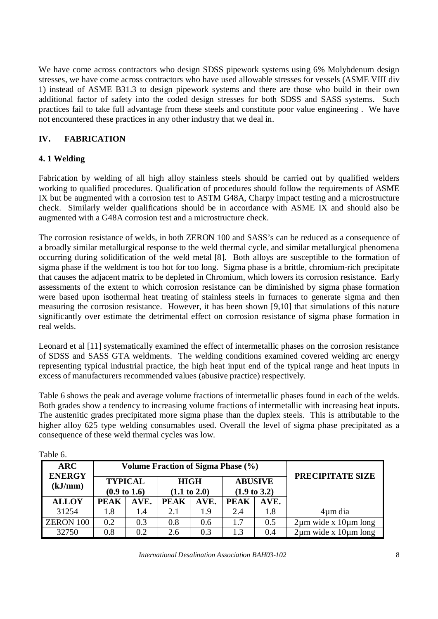We have come across contractors who design SDSS pipework systems using 6% Molybdenum design stresses, we have come across contractors who have used allowable stresses for vessels (ASME VIII div 1) instead of ASME B31.3 to design pipework systems and there are those who build in their own additional factor of safety into the coded design stresses for both SDSS and SASS systems. Such practices fail to take full advantage from these steels and constitute poor value engineering . We have not encountered these practices in any other industry that we deal in.

# **IV. FABRICATION**

# **4. 1 Welding**

Fabrication by welding of all high alloy stainless steels should be carried out by qualified welders working to qualified procedures. Qualification of procedures should follow the requirements of ASME IX but be augmented with a corrosion test to ASTM G48A, Charpy impact testing and a microstructure check. Similarly welder qualifications should be in accordance with ASME IX and should also be augmented with a G48A corrosion test and a microstructure check.

The corrosion resistance of welds, in both ZERON 100 and SASS's can be reduced as a consequence of a broadly similar metallurgical response to the weld thermal cycle, and similar metallurgical phenomena occurring during solidification of the weld metal [8]. Both alloys are susceptible to the formation of sigma phase if the weldment is too hot for too long. Sigma phase is a brittle, chromium-rich precipitate that causes the adjacent matrix to be depleted in Chromium, which lowers its corrosion resistance. Early assessments of the extent to which corrosion resistance can be diminished by sigma phase formation were based upon isothermal heat treating of stainless steels in furnaces to generate sigma and then measuring the corrosion resistance. However, it has been shown [9,10] that simulations of this nature significantly over estimate the detrimental effect on corrosion resistance of sigma phase formation in real welds.

Leonard et al [11] systematically examined the effect of intermetallic phases on the corrosion resistance of SDSS and SASS GTA weldments. The welding conditions examined covered welding arc energy representing typical industrial practice, the high heat input end of the typical range and heat inputs in excess of manufacturers recommended values (abusive practice) respectively.

Table 6 shows the peak and average volume fractions of intermetallic phases found in each of the welds. Both grades show a tendency to increasing volume fractions of intermetallic with increasing heat inputs. The austenitic grades precipitated more sigma phase than the duplex steels. This is attributable to the higher alloy 625 type welding consumables used. Overall the level of sigma phase precipitated as a consequence of these weld thermal cycles was low.

| <b>ARC</b>               |             | Volume Fraction of Sigma Phase (%)        |                                        |      |                                           |      |                                |
|--------------------------|-------------|-------------------------------------------|----------------------------------------|------|-------------------------------------------|------|--------------------------------|
| <b>ENERGY</b><br>(kJ/mm) |             | <b>TYPICAL</b><br>$(0.9 \text{ to } 1.6)$ | <b>HIGH</b><br>$(1.1 \text{ to } 2.0)$ |      | <b>ABUSIVE</b><br>$(1.9 \text{ to } 3.2)$ |      | PRECIPITATE SIZE               |
| <b>ALLOY</b>             | <b>PEAK</b> | AVE.                                      | <b>PEAK</b>                            | AVE. | <b>PEAK</b>                               | AVE. |                                |
| 31254                    | 1.8         | 1.4                                       | 2.1                                    | 19   | 2.4                                       | 1.8  | 4um dia                        |
| <b>ZERON 100</b>         | 0.2         | 0.3                                       | 0.8                                    | 0.6  | 1.7                                       | 0.5  | $2\mu m$ wide x $10\mu m$ long |
| 32750                    | 0.8         | 0.2                                       | 2.6                                    | 0.3  | 13                                        | 0.4  | $2\mu m$ wide x $10\mu m$ long |

Table 6.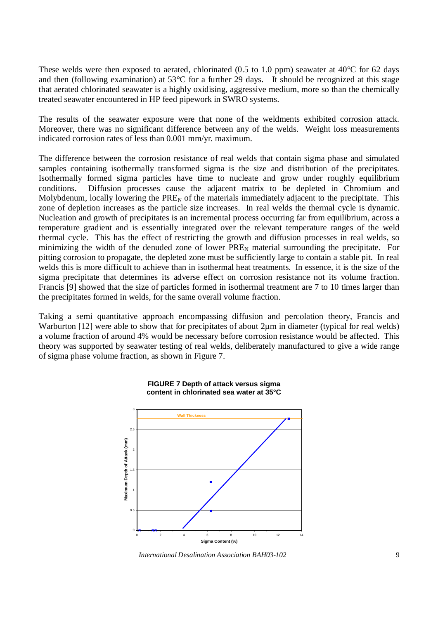These welds were then exposed to aerated, chlorinated (0.5 to 1.0 ppm) seawater at 40<sup>o</sup>C for 62 days and then (following examination) at 53°C for a further 29 days. It should be recognized at this stage that aerated chlorinated seawater is a highly oxidising, aggressive medium, more so than the chemically treated seawater encountered in HP feed pipework in SWRO systems.

The results of the seawater exposure were that none of the weldments exhibited corrosion attack. Moreover, there was no significant difference between any of the welds. Weight loss measurements indicated corrosion rates of less than 0.001 mm/yr. maximum.

The difference between the corrosion resistance of real welds that contain sigma phase and simulated samples containing isothermally transformed sigma is the size and distribution of the precipitates. Isothermally formed sigma particles have time to nucleate and grow under roughly equilibrium conditions. Diffusion processes cause the adjacent matrix to be depleted in Chromium and Molybdenum, locally lowering the  $PRE<sub>N</sub>$  of the materials immediately adjacent to the precipitate. This zone of depletion increases as the particle size increases. In real welds the thermal cycle is dynamic. Nucleation and growth of precipitates is an incremental process occurring far from equilibrium, across a temperature gradient and is essentially integrated over the relevant temperature ranges of the weld thermal cycle. This has the effect of restricting the growth and diffusion processes in real welds, so minimizing the width of the denuded zone of lower  $PRE<sub>N</sub>$  material surrounding the precipitate. For pitting corrosion to propagate, the depleted zone must be sufficiently large to contain a stable pit. In real welds this is more difficult to achieve than in isothermal heat treatments. In essence, it is the size of the sigma precipitate that determines its adverse effect on corrosion resistance not its volume fraction. Francis [9] showed that the size of particles formed in isothermal treatment are 7 to 10 times larger than the precipitates formed in welds, for the same overall volume fraction.

Taking a semi quantitative approach encompassing diffusion and percolation theory, Francis and Warburton [12] were able to show that for precipitates of about 2um in diameter (typical for real welds) a volume fraction of around 4% would be necessary before corrosion resistance would be affected. This theory was supported by seawater testing of real welds, deliberately manufactured to give a wide range of sigma phase volume fraction, as shown in Figure 7.



#### **FIGURE 7 Depth of attack versus sigma content in chlorinated sea water at 35°C**

*International Desalination Association BAH03-102* 9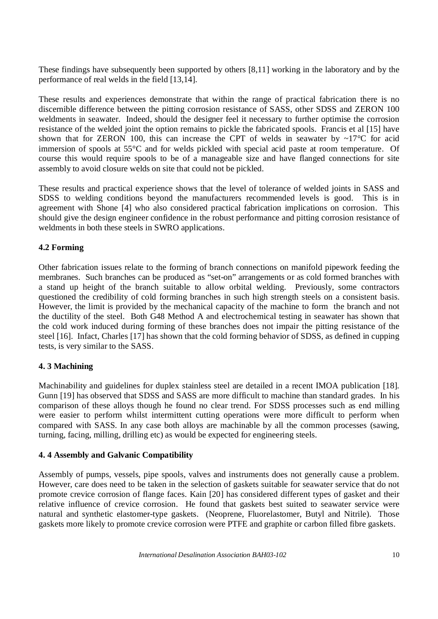These findings have subsequently been supported by others [8,11] working in the laboratory and by the performance of real welds in the field [13,14].

These results and experiences demonstrate that within the range of practical fabrication there is no discernible difference between the pitting corrosion resistance of SASS, other SDSS and ZERON 100 weldments in seawater. Indeed, should the designer feel it necessary to further optimise the corrosion resistance of the welded joint the option remains to pickle the fabricated spools. Francis et al [15] have shown that for ZERON 100, this can increase the CPT of welds in seawater by  $\sim17^{\circ}$ C for acid immersion of spools at 55°C and for welds pickled with special acid paste at room temperature. Of course this would require spools to be of a manageable size and have flanged connections for site assembly to avoid closure welds on site that could not be pickled.

These results and practical experience shows that the level of tolerance of welded joints in SASS and SDSS to welding conditions beyond the manufacturers recommended levels is good. This is in agreement with Shone [4] who also considered practical fabrication implications on corrosion. This should give the design engineer confidence in the robust performance and pitting corrosion resistance of weldments in both these steels in SWRO applications.

# **4.2 Forming**

Other fabrication issues relate to the forming of branch connections on manifold pipework feeding the membranes. Such branches can be produced as "set-on" arrangements or as cold formed branches with a stand up height of the branch suitable to allow orbital welding. Previously, some contractors questioned the credibility of cold forming branches in such high strength steels on a consistent basis. However, the limit is provided by the mechanical capacity of the machine to form the branch and not the ductility of the steel. Both G48 Method A and electrochemical testing in seawater has shown that the cold work induced during forming of these branches does not impair the pitting resistance of the steel [16]. Infact, Charles [17] has shown that the cold forming behavior of SDSS, as defined in cupping tests, is very similar to the SASS.

### **4. 3 Machining**

Machinability and guidelines for duplex stainless steel are detailed in a recent IMOA publication [18]. Gunn [19] has observed that SDSS and SASS are more difficult to machine than standard grades. In his comparison of these alloys though he found no clear trend. For SDSS processes such as end milling were easier to perform whilst intermittent cutting operations were more difficult to perform when compared with SASS. In any case both alloys are machinable by all the common processes (sawing, turning, facing, milling, drilling etc) as would be expected for engineering steels.

### **4. 4 Assembly and Galvanic Compatibility**

Assembly of pumps, vessels, pipe spools, valves and instruments does not generally cause a problem. However, care does need to be taken in the selection of gaskets suitable for seawater service that do not promote crevice corrosion of flange faces. Kain [20] has considered different types of gasket and their relative influence of crevice corrosion. He found that gaskets best suited to seawater service were natural and synthetic elastomer-type gaskets. (Neoprene, Fluorelastomer, Butyl and Nitrile). Those gaskets more likely to promote crevice corrosion were PTFE and graphite or carbon filled fibre gaskets.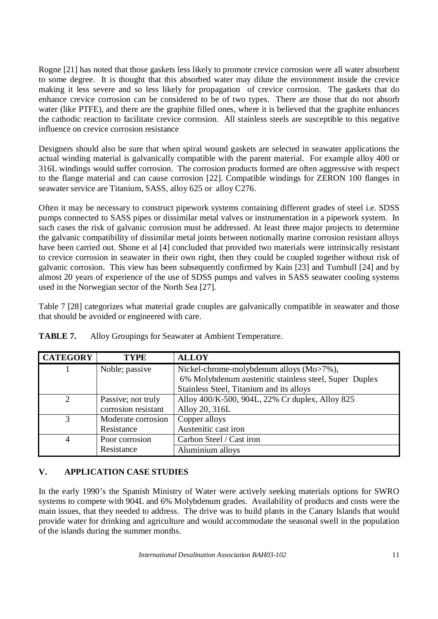Rogne [21] has noted that those gaskets less likely to promote crevice corrosion were all water absorbent to some degree. It is thought that this absorbed water may dilute the environment inside the crevice making it less severe and so less likely for propagation of crevice corrosion. The gaskets that do enhance crevice corrosion can be considered to be of two types. There are those that do not absorb water (like PTFE), and there are the graphite filled ones, where it is believed that the graphite enhances the cathodic reaction to facilitate crevice corrosion. All stainless steels are susceptible to this negative influence on crevice corrosion resistance

Designers should also be sure that when spiral wound gaskets are selected in seawater applications the actual winding material is galvanically compatible with the parent material. For example alloy 400 or 316L windings would suffer corrosion. The corrosion products formed are often aggressive with respect to the flange material and can cause corrosion [22]. Compatible windings for ZERON 100 flanges in seawater service are Titanium, SASS, alloy 625 or alloy C276.

Often it may be necessary to construct pipework systems containing different grades of steel i.e. SDSS pumps connected to SASS pipes or dissimilar metal valves or instrumentation in a pipework system. In such cases the risk of galvanic corrosion must be addressed. At least three major projects to determine the galvanic compatibility of dissimilar metal joints between notionally marine corrosion resistant alloys have been carried out. Shone et al [4] concluded that provided two materials were intrinsically resistant to crevice corrosion in seawater in their own right, then they could be coupled together without risk of galvanic corrosion. This view has been subsequently confirmed by Kain [23] and Turnbull [24] and by almost 20 years of experience of the use of SDSS pumps and valves in SASS seawater cooling systems used in the Norwegian sector of the North Sea [27].

Table 7 [28] categorizes what material grade couples are galvanically compatible in seawater and those that should be avoided or engineered with care.

| <b>CATEGORY</b>       | <b>TYPE</b>         | <b>ALLOY</b>                                           |
|-----------------------|---------------------|--------------------------------------------------------|
|                       | Noble; passive      | Nickel-chrome-molybdenum alloys (Mo>7%),               |
|                       |                     | 6% Molybdenum austenitic stainless steel, Super Duplex |
|                       |                     | Stainless Steel, Titanium and its alloys               |
| $\mathcal{D}_{\cdot}$ | Passive; not truly  | Alloy 400/K-500, 904L, 22% Cr duplex, Alloy 825        |
|                       | corrosion resistant | Alloy 20, 316L                                         |
| 3                     | Moderate corrosion  | Copper alloys                                          |
|                       | Resistance          | Austenitic cast iron                                   |
|                       | Poor corrosion      | Carbon Steel / Cast iron                               |
|                       | Resistance          | Aluminium alloys                                       |

**TABLE 7.** Alloy Groupings for Seawater at Ambient Temperature.

# **V. APPLICATION CASE STUDIES**

In the early 1990's the Spanish Ministry of Water were actively seeking materials options for SWRO systems to compete with 904L and 6% Molybdenum grades. Availability of products and costs were the main issues, that they needed to address. The drive was to build plants in the Canary Islands that would provide water for drinking and agriculture and would accommodate the seasonal swell in the population of the islands during the summer months.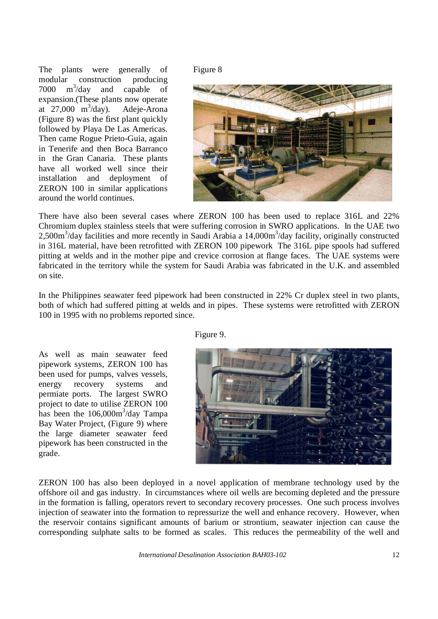The plants were generally of modular construction producing  $7000 \text{ m}^3/\text{day}$  and capable of expansion.(These plants now operate at  $27,000 \text{ m}^3/\text{day}$ . Adeje-Arona (Figure 8) was the first plant quickly followed by Playa De Las Americas. Then came Rogue Prieto-Guia, again in Tenerife and then Boca Barranco in the Gran Canaria. These plants have all worked well since their installation and deployment of ZERON 100 in similar applications around the world continues.

Figure 8



There have also been several cases where ZERON 100 has been used to replace 316L and 22% Chromium duplex stainless steels that were suffering corrosion in SWRO applications. In the UAE two 2,500m<sup>3</sup>/day facilities and more recently in Saudi Arabia a 14,000m<sup>3</sup>/day facility, originally constructed in 316L material, have been retrofitted with ZERON 100 pipework The 316L pipe spools had suffered pitting at welds and in the mother pipe and crevice corrosion at flange faces. The UAE systems were fabricated in the territory while the system for Saudi Arabia was fabricated in the U.K. and assembled on site.

In the Philippines seawater feed pipework had been constructed in 22% Cr duplex steel in two plants, both of which had suffered pitting at welds and in pipes. These systems were retrofitted with ZERON 100 in 1995 with no problems reported since.

As well as main seawater feed pipework systems, ZERON 100 has been used for pumps, valves vessels, energy recovery systems and permiate ports. The largest SWRO project to date to utilise ZERON 100 has been the  $106,000m^3$ /day Tampa Bay Water Project, (Figure 9) where the large diameter seawater feed pipework has been constructed in the grade.

ZERON 100 has also been deployed in a novel application of membrane technology used by the offshore oil and gas industry. In circumstances where oil wells are becoming depleted and the pressure in the formation is falling, operators revert to secondary recovery processes. One such process involves injection of seawater into the formation to repressurize the well and enhance recovery. However, when the reservoir contains significant amounts of barium or strontium, seawater injection can cause the corresponding sulphate salts to be formed as scales. This reduces the permeability of the well and

*International Desalination Association BAH03-102* 12

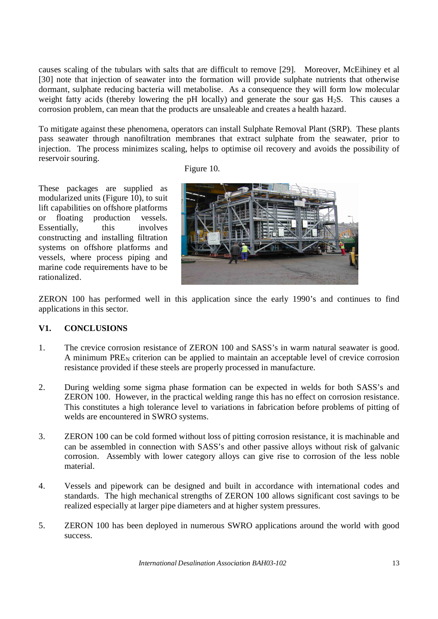causes scaling of the tubulars with salts that are difficult to remove [29]. Moreover, McEihiney et al [30] note that injection of seawater into the formation will provide sulphate nutrients that otherwise dormant, sulphate reducing bacteria will metabolise. As a consequence they will form low molecular weight fatty acids (thereby lowering the pH locally) and generate the sour gas  $H_2S$ . This causes a corrosion problem, can mean that the products are unsaleable and creates a health hazard.

To mitigate against these phenomena, operators can install Sulphate Removal Plant (SRP). These plants pass seawater through nanofiltration membranes that extract sulphate from the seawater, prior to injection. The process minimizes scaling, helps to optimise oil recovery and avoids the possibility of reservoir souring.

Figure 10.

These packages are supplied as modularized units (Figure 10), to suit lift capabilities on offshore platforms or floating production vessels. Essentially, this involves constructing and installing filtration systems on offshore platforms and vessels, where process piping and marine code requirements have to be rationalized.



ZERON 100 has performed well in this application since the early 1990's and continues to find applications in this sector.

# **V1. CONCLUSIONS**

- 1. The crevice corrosion resistance of ZERON 100 and SASS's in warm natural seawater is good. A minimum  $PRE<sub>N</sub>$  criterion can be applied to maintain an acceptable level of crevice corrosion resistance provided if these steels are properly processed in manufacture.
- 2. During welding some sigma phase formation can be expected in welds for both SASS's and ZERON 100. However, in the practical welding range this has no effect on corrosion resistance. This constitutes a high tolerance level to variations in fabrication before problems of pitting of welds are encountered in SWRO systems.
- 3. ZERON 100 can be cold formed without loss of pitting corrosion resistance, it is machinable and can be assembled in connection with SASS's and other passive alloys without risk of galvanic corrosion. Assembly with lower category alloys can give rise to corrosion of the less noble material.
- 4. Vessels and pipework can be designed and built in accordance with international codes and standards. The high mechanical strengths of ZERON 100 allows significant cost savings to be realized especially at larger pipe diameters and at higher system pressures.
- 5. ZERON 100 has been deployed in numerous SWRO applications around the world with good success.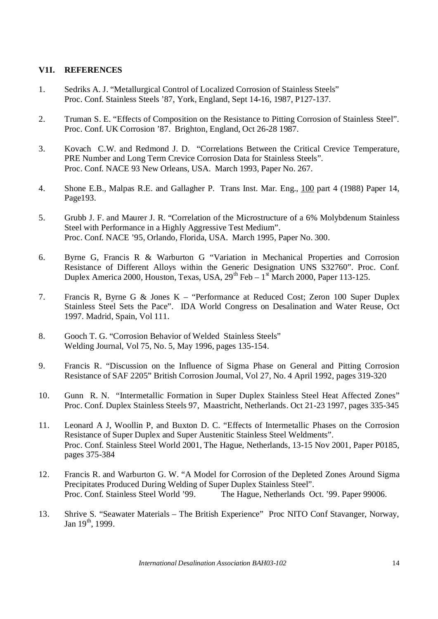### **V1I. REFERENCES**

- 1. Sedriks A. J. "Metallurgical Control of Localized Corrosion of Stainless Steels" Proc. Conf. Stainless Steels '87, York, England, Sept 14-16, 1987, P127-137.
- 2. Truman S. E. "Effects of Composition on the Resistance to Pitting Corrosion of Stainless Steel". Proc. Conf. UK Corrosion '87. Brighton, England, Oct 26-28 1987.
- 3. Kovach C.W. and Redmond J. D. "Correlations Between the Critical Crevice Temperature, PRE Number and Long Term Crevice Corrosion Data for Stainless Steels". Proc. Conf. NACE 93 New Orleans, USA. March 1993, Paper No. 267.
- 4. Shone E.B., Malpas R.E. and Gallagher P. Trans Inst. Mar. Eng., 100 part 4 (1988) Paper 14, Page193.
- 5. Grubb J. F. and Maurer J. R. "Correlation of the Microstructure of a 6% Molybdenum Stainless Steel with Performance in a Highly Aggressive Test Medium". Proc. Conf. NACE '95, Orlando, Florida, USA. March 1995, Paper No. 300.
- 6. Byrne G, Francis R & Warburton G "Variation in Mechanical Properties and Corrosion Resistance of Different Alloys within the Generic Designation UNS S32760". Proc. Conf. Duplex America 2000, Houston, Texas, USA,  $29^{th}$  Feb –  $1^{\text{st}}$  March 2000, Paper 113-125.
- 7. Francis R, Byrne G & Jones K "Performance at Reduced Cost; Zeron 100 Super Duplex Stainless Steel Sets the Pace". IDA World Congress on Desalination and Water Reuse, Oct 1997. Madrid, Spain, Vol 111.
- 8. Gooch T. G. "Corrosion Behavior of Welded Stainless Steels" Welding Journal, Vol 75, No. 5, May 1996, pages 135-154.
- 9. Francis R. "Discussion on the Influence of Sigma Phase on General and Pitting Corrosion Resistance of SAF 2205" British Corrosion Journal, Vol 27, No. 4 April 1992, pages 319-320
- 10. Gunn R. N. "Intermetallic Formation in Super Duplex Stainless Steel Heat Affected Zones" Proc. Conf. Duplex Stainless Steels 97, Maastricht, Netherlands. Oct 21-23 1997, pages 335-345
- 11. Leonard A J, Woollin P, and Buxton D. C. "Effects of Intermetallic Phases on the Corrosion Resistance of Super Duplex and Super Austenitic Stainless Steel Weldments". Proc. Conf. Stainless Steel World 2001, The Hague, Netherlands, 13-15 Nov 2001, Paper P0185, pages 375-384
- 12. Francis R. and Warburton G. W. "A Model for Corrosion of the Depleted Zones Around Sigma Precipitates Produced During Welding of Super Duplex Stainless Steel". Proc. Conf. Stainless Steel World '99. The Hague, Netherlands Oct. '99. Paper 99006.
- 13. Shrive S. "Seawater Materials The British Experience" Proc NITO Conf Stavanger, Norway, Jan  $19^{th}$ , 1999.